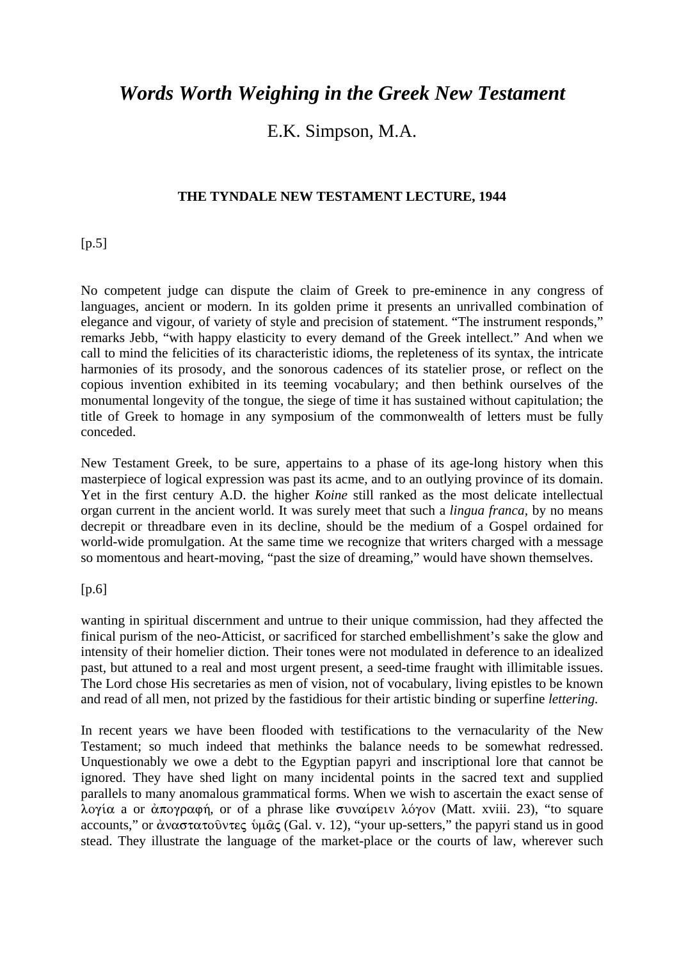# *Words Worth Weighing in the Greek New Testament*

# E.K. Simpson, M.A.

### **THE TYNDALE NEW TESTAMENT LECTURE, 1944**

 $[p.5]$ 

No competent judge can dispute the claim of Greek to pre-eminence in any congress of languages, ancient or modern. In its golden prime it presents an unrivalled combination of elegance and vigour, of variety of style and precision of statement. "The instrument responds," remarks Jebb, "with happy elasticity to every demand of the Greek intellect." And when we call to mind the felicities of its characteristic idioms, the repleteness of its syntax, the intricate harmonies of its prosody, and the sonorous cadences of its statelier prose, or reflect on the copious invention exhibited in its teeming vocabulary; and then bethink ourselves of the monumental longevity of the tongue, the siege of time it has sustained without capitulation; the title of Greek to homage in any symposium of the commonwealth of letters must be fully conceded.

New Testament Greek, to be sure, appertains to a phase of its age-long history when this masterpiece of logical expression was past its acme, and to an outlying province of its domain. Yet in the first century A.D. the higher *Koine* still ranked as the most delicate intellectual organ current in the ancient world. It was surely meet that such a *lingua franca,* by no means decrepit or threadbare even in its decline, should be the medium of a Gospel ordained for world-wide promulgation. At the same time we recognize that writers charged with a message so momentous and heart-moving, "past the size of dreaming," would have shown themselves.

#### [p.6]

wanting in spiritual discernment and untrue to their unique commission, had they affected the finical purism of the neo-Atticist, or sacrificed for starched embellishment's sake the glow and intensity of their homelier diction. Their tones were not modulated in deference to an idealized past, but attuned to a real and most urgent present, a seed-time fraught with illimitable issues. The Lord chose His secretaries as men of vision, not of vocabulary, living epistles to be known and read of all men, not prized by the fastidious for their artistic binding or superfine *lettering.*

In recent years we have been flooded with testifications to the vernacularity of the New Testament; so much indeed that methinks the balance needs to be somewhat redressed. Unquestionably we owe a debt to the Egyptian papyri and inscriptional lore that cannot be ignored. They have shed light on many incidental points in the sacred text and supplied parallels to many anomalous grammatical forms. When we wish to ascertain the exact sense of  $\lambda$ ογία a or άπογραφή, or of a phrase like συναίρειν λόγον (Matt. xviii. 23), "to square accounts," or  $\alpha$ ναστατοῦντες ὑμας (Gal. v. 12), "your up-setters," the papyri stand us in good stead. They illustrate the language of the market-place or the courts of law, wherever such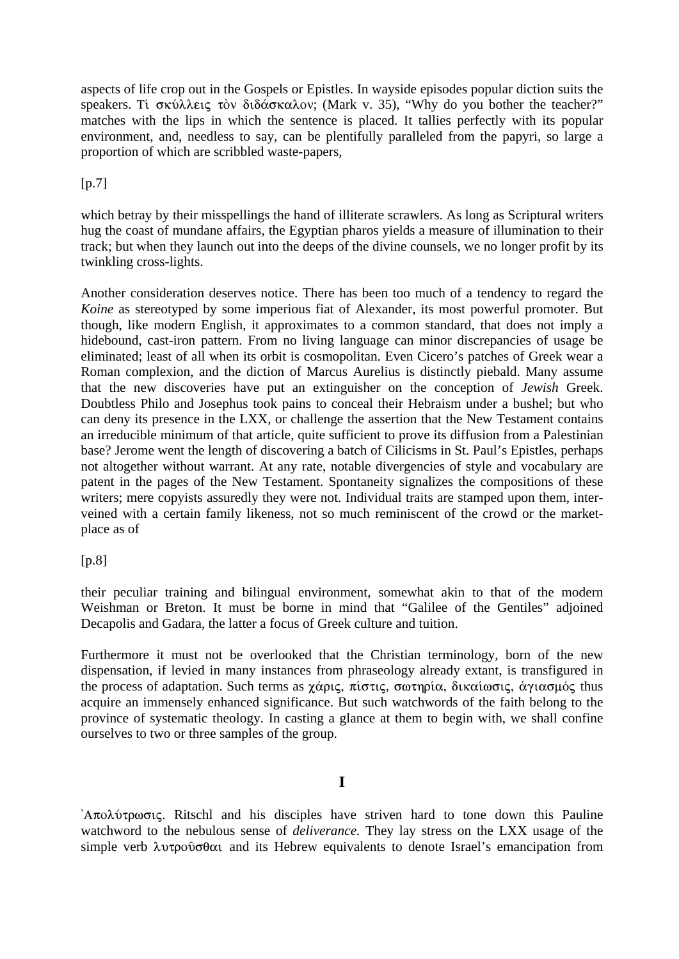aspects of life crop out in the Gospels or Epistles. In wayside episodes popular diction suits the speakers. Ti σκύλλεις τὸν διδάσκαλον; (Mark v. 35), "Why do you bother the teacher?" matches with the lips in which the sentence is placed. It tallies perfectly with its popular environment, and, needless to say, can be plentifully paralleled from the papyri, so large a proportion of which are scribbled waste-papers,

 $[p.7]$ 

which betray by their misspellings the hand of illiterate scrawlers. As long as Scriptural writers hug the coast of mundane affairs, the Egyptian pharos yields a measure of illumination to their track; but when they launch out into the deeps of the divine counsels, we no longer profit by its twinkling cross-lights.

Another consideration deserves notice. There has been too much of a tendency to regard the *Koine* as stereotyped by some imperious fiat of Alexander, its most powerful promoter. But though, like modern English, it approximates to a common standard, that does not imply a hidebound, cast-iron pattern. From no living language can minor discrepancies of usage be eliminated; least of all when its orbit is cosmopolitan. Even Cicero's patches of Greek wear a Roman complexion, and the diction of Marcus Aurelius is distinctly piebald. Many assume that the new discoveries have put an extinguisher on the conception of *Jewish* Greek. Doubtless Philo and Josephus took pains to conceal their Hebraism under a bushel; but who can deny its presence in the LXX, or challenge the assertion that the New Testament contains an irreducible minimum of that article, quite sufficient to prove its diffusion from a Palestinian base? Jerome went the length of discovering a batch of Cilicisms in St. Paul's Epistles, perhaps not altogether without warrant. At any rate, notable divergencies of style and vocabulary are patent in the pages of the New Testament. Spontaneity signalizes the compositions of these writers; mere copyists assuredly they were not. Individual traits are stamped upon them, interveined with a certain family likeness, not so much reminiscent of the crowd or the marketplace as of

[p.8]

their peculiar training and bilingual environment, somewhat akin to that of the modern Weishman or Breton. It must be borne in mind that "Galilee of the Gentiles" adjoined Decapolis and Gadara, the latter a focus of Greek culture and tuition.

Furthermore it must not be overlooked that the Christian terminology, born of the new dispensation, if levied in many instances from phraseology already extant, is transfigured in the process of adaptation. Such terms as χάρις, πίστις, σωτηρία, δικαίωσις, άγιασμός thus acquire an immensely enhanced significance. But such watchwords of the faith belong to the province of systematic theology. In casting a glance at them to begin with, we shall confine ourselves to two or three samples of the group.

'A $\pi$ o $\lambda$ ύτρωσις. Ritschl and his disciples have striven hard to tone down this Pauline watchword to the nebulous sense of *deliverance.* They lay stress on the LXX usage of the simple verb  $\lambda \nu \tau \rho \partial \varphi \partial \alpha$  and its Hebrew equivalents to denote Israel's emancipation from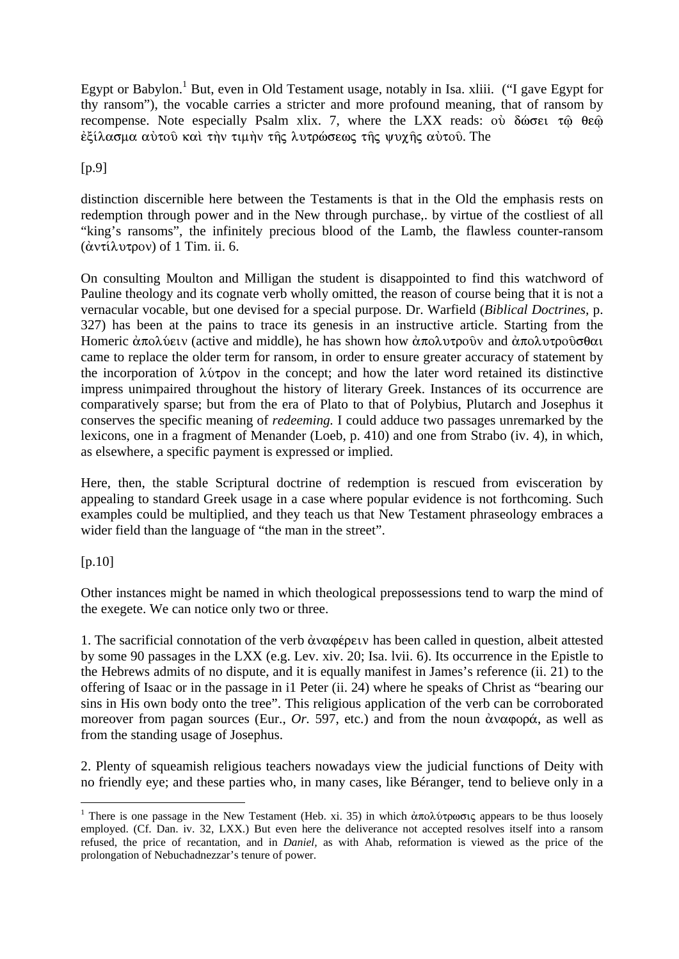Egypt or Babylon.<sup>1</sup> But, even in Old Testament usage, notably in Isa. xliii. ("I gave Egypt for thy ransom"), the vocable carries a stricter and more profound meaning, that of ransom by recompense. Note especially Psalm xlix. 7, where the LXX reads:  $o\dot{v}$   $\delta\dot{\omega}$ εξίλασμα αύτού και την τιμήν της λυτρώσεως της ψυχης αύτου. The

#### $[p.9]$

distinction discernible here between the Testaments is that in the Old the emphasis rests on redemption through power and in the New through purchase,. by virtue of the costliest of all "king's ransoms", the infinitely precious blood of the Lamb, the flawless counter-ransom (άντίλυτρον) of 1 Tim. ii. 6.

On consulting Moulton and Milligan the student is disappointed to find this watchword of Pauline theology and its cognate verb wholly omitted, the reason of course being that it is not a vernacular vocable, but one devised for a special purpose. Dr. Warfield (*Biblical Doctrines,* p. 327) has been at the pains to trace its genesis in an instructive article. Starting from the Homeric  $\dot{\alpha}$ πολύειν (active and middle), he has shown how  $\dot{\alpha}$ πολυτροῦν and  $\dot{\alpha}$ πολυτροῦσθαι came to replace the older term for ransom, in order to ensure greater accuracy of statement by the incorporation of  $\lambda\dot{\nu}z$  in the concept; and how the later word retained its distinctive impress unimpaired throughout the history of literary Greek. Instances of its occurrence are comparatively sparse; but from the era of Plato to that of Polybius, Plutarch and Josephus it conserves the specific meaning of *redeeming.* I could adduce two passages unremarked by the lexicons, one in a fragment of Menander (Loeb, p. 410) and one from Strabo (iv. 4), in which, as elsewhere, a specific payment is expressed or implied.

Here, then, the stable Scriptural doctrine of redemption is rescued from evisceration by appealing to standard Greek usage in a case where popular evidence is not forthcoming. Such examples could be multiplied, and they teach us that New Testament phraseology embraces a wider field than the language of "the man in the street".

 $[p.10]$ 

1

Other instances might be named in which theological prepossessions tend to warp the mind of the exegete. We can notice only two or three.

1. The sacrificial connotation of the verb  $\dot{\alpha}$  v $\alpha$   $\varphi$   $\epsilon$  per v has been called in question, albeit attested by some 90 passages in the LXX (e.g. Lev. xiv. 20; Isa. lvii. 6). Its occurrence in the Epistle to the Hebrews admits of no dispute, and it is equally manifest in James's reference (ii. 21) to the offering of Isaac or in the passage in i1 Peter (ii. 24) where he speaks of Christ as "bearing our sins in His own body onto the tree". This religious application of the verb can be corroborated moreover from pagan sources (Eur., *Or.* 597, etc.) and from the noun  $\dot{\alpha}$ v $\alpha$ φορά, as well as from the standing usage of Josephus.

2. Plenty of squeamish religious teachers nowadays view the judicial functions of Deity with no friendly eye; and these parties who, in many cases, like Béranger, tend to believe only in a

<sup>&</sup>lt;sup>1</sup> There is one passage in the New Testament (Heb. xi. 35) in which  $\dot{\alpha}\pi$ o $\lambda$ ύτρωσις appears to be thus loosely employed. (Cf. Dan. iv. 32, LXX.) But even here the deliverance not accepted resolves itself into a ransom refused, the price of recantation, and in *Daniel,* as with Ahab, reformation is viewed as the price of the prolongation of Nebuchadnezzar's tenure of power.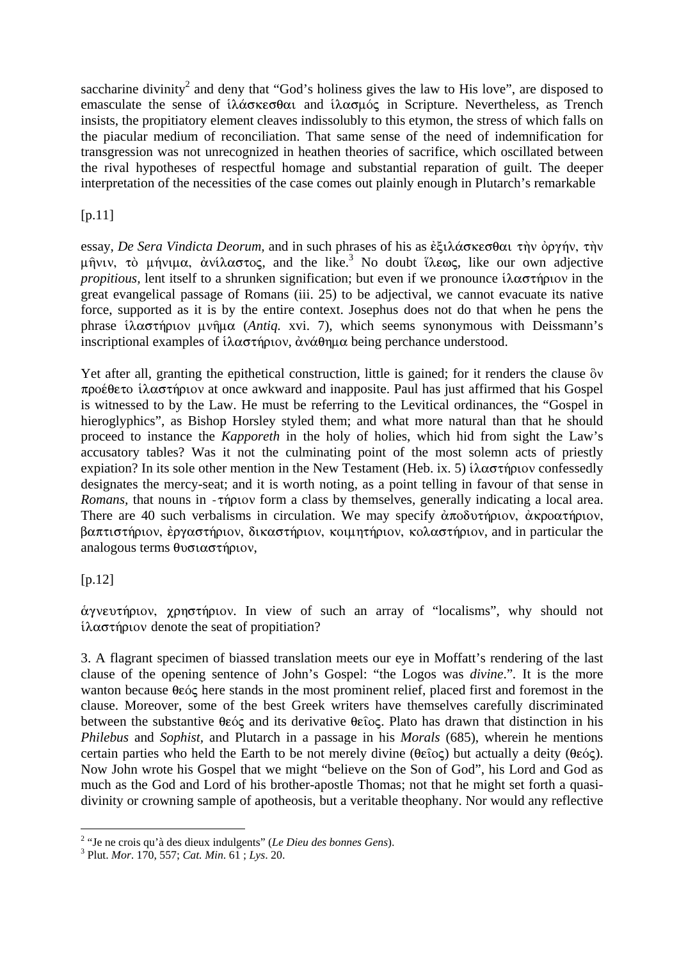saccharine divinity<sup>2</sup> and deny that "God's holiness gives the law to His love", are disposed to emasculate the sense of  $i\lambda\alpha\sigma\kappa\epsilon\sigma\theta\alpha$  and  $i\lambda\alpha\sigma\mu\sigma\zeta$  in Scripture. Nevertheless, as Trench insists, the propitiatory element cleaves indissolubly to this etymon, the stress of which falls on the piacular medium of reconciliation. That same sense of the need of indemnification for transgression was not unrecognized in heathen theories of sacrifice, which oscillated between the rival hypotheses of respectful homage and substantial reparation of guilt. The deeper interpretation of the necessities of the case comes out plainly enough in Plutarch's remarkable

## [p.11]

essay, *De Sera Vindicta Deorum*, and in such phrases of his as ἐξιλάσκεσθαι τὴν ὀργήν, τὴν μήνιν, τὸ μήνιμα, ἀνίλαστος, and the like.<sup>3</sup> No doubt ἵλεως, like our own adjective *propitious*, lent itself to a shrunken signification; but even if we pronounce  $i\lambda \alpha \sigma \tau$  npower in the great evangelical passage of Romans (iii. 25) to be adjectival, we cannot evacuate its native force, supported as it is by the entire context. Josephus does not do that when he pens the phrase ίλαστήριον μνήμα (*Antiq. xvi. 7*), which seems synonymous with Deissmann's inscriptional examples of  $i\lambda \alpha \sigma \tau \gamma \rho \nu \alpha$ ,  $\dot{\alpha} \nu \dot{\alpha} \theta \eta \mu \alpha$  being perchance understood.

Yet after all, granting the epithetical construction, little is gained; for it renders the clause  $\delta v$  $\pi$ ροέθετο ίλαστήριον at once awkward and inapposite. Paul has just affirmed that his Gospel is witnessed to by the Law. He must be referring to the Levitical ordinances, the "Gospel in hieroglyphics", as Bishop Horsley styled them; and what more natural than that he should proceed to instance the *Kapporeth* in the holy of holies, which hid from sight the Law's accusatory tables? Was it not the culminating point of the most solemn acts of priestly expiation? In its sole other mention in the New Testament (Heb. ix. 5)  $i\lambda \alpha \sigma \tau \eta \rho \nu \nu$  confessedly designates the mercy-seat; and it is worth noting, as a point telling in favour of that sense in *Romans,* that nouns in  $-\tau \eta$  providence a class by themselves, generally indicating a local area. There are 40 such verbalisms in circulation. We may specify  $\dot{\alpha}\pi$  oδυτήριον,  $\dot{\alpha}\kappa$ ροατήριον,  $\beta$ απτιστήριον, έργαστήριον, δικαστήριον, κοιμητήριον, κολαστήριον, and in particular the analogous terms  $\theta$ νσιαστήριον,

### [p.12]

1

άγνευτήριον, χρηστήριον. In view of such an array of "localisms", why should not  $i\lambda \alpha \sigma \tau$  n denote the seat of propitiation?

3. A flagrant specimen of biassed translation meets our eye in Moffatt's rendering of the last clause of the opening sentence of John's Gospel: "the Logos was *divine*."*.* It is the more wanton because  $\theta \in \hat{\mathcal{C}}$  here stands in the most prominent relief, placed first and foremost in the clause. Moreover, some of the best Greek writers have themselves carefully discriminated between the substantive  $\theta \in \infty$  and its derivative  $\theta \in \infty$ . Plato has drawn that distinction in his *Philebus* and *Sophist,* and Plutarch in a passage in his *Morals* (685), wherein he mentions certain parties who held the Earth to be not merely divine  $(\theta \epsilon \hat{i} o \zeta)$  but actually a deity  $(\theta \epsilon \hat{o} \zeta)$ . Now John wrote his Gospel that we might "believe on the Son of God", his Lord and God as much as the God and Lord of his brother-apostle Thomas; not that he might set forth a quasidivinity or crowning sample of apotheosis, but a veritable theophany. Nor would any reflective

<sup>&</sup>lt;sup>2</sup> "Je ne crois qu'à des dieux indulgents" (*Le Dieu des bonnes Gens*).

Plut. *Mor*. 170, 557; *Cat. Min*. 61 ; *Lys*. 20.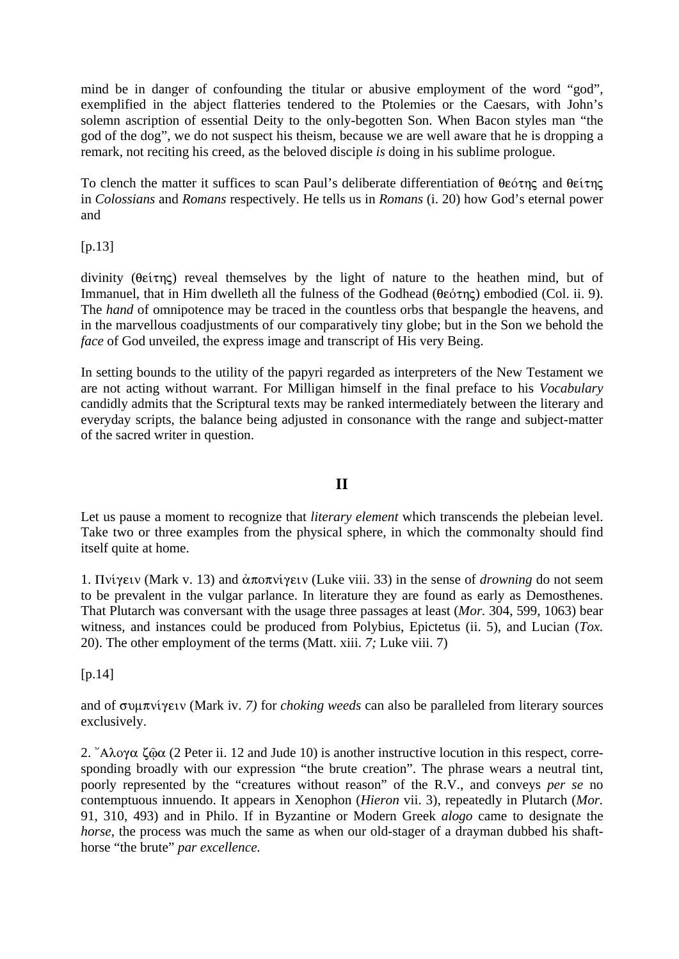mind be in danger of confounding the titular or abusive employment of the word "god", exemplified in the abject flatteries tendered to the Ptolemies or the Caesars, with John's solemn ascription of essential Deity to the only-begotten Son. When Bacon styles man "the god of the dog", we do not suspect his theism, because we are well aware that he is dropping a remark, not reciting his creed, as the beloved disciple *is* doing in his sublime prologue.

To clench the matter it suffices to scan Paul's deliberate differentiation of  $\theta \epsilon \acute{\sigma} \eta \zeta$  and  $\theta \epsilon \acute{\iota} \eta \zeta$ in *Colossians* and *Romans* respectively. He tells us in *Romans* (i. 20) how God's eternal power and

[p.13]

divinity ( $\theta \in \mathfrak{e}(\pi)$  reveal themselves by the light of nature to the heathen mind, but of Immanuel, that in Him dwelleth all the fulness of the Godhead ( $\theta \epsilon \acute{\sigma} \tau$ nc) embodied (Col. ii. 9). The *hand* of omnipotence may be traced in the countless orbs that bespangle the heavens, and in the marvellous coadjustments of our comparatively tiny globe; but in the Son we behold the *face* of God unveiled, the express image and transcript of His very Being.

In setting bounds to the utility of the papyri regarded as interpreters of the New Testament we are not acting without warrant. For Milligan himself in the final preface to his *Vocabulary*  candidly admits that the Scriptural texts may be ranked intermediately between the literary and everyday scripts, the balance being adjusted in consonance with the range and subject-matter of the sacred writer in question.

### **II**

Let us pause a moment to recognize that *literary element* which transcends the plebeian level. Take two or three examples from the physical sphere, in which the commonalty should find itself quite at home.

1. Πνίγειν (Mark v. 13) and άποπνίγειν (Luke viii. 33) in the sense of *drowning* do not seem to be prevalent in the vulgar parlance. In literature they are found as early as Demosthenes. That Plutarch was conversant with the usage three passages at least (*Mor.* 304, 599, 1063) bear witness, and instances could be produced from Polybius, Epictetus (ii. 5), and Lucian (*Tox.*  20). The other employment of the terms (Matt. xiii. *7;* Luke viii. 7)

 $[p.14]$ 

and of συμπνίγειν (Mark iv. 7) for *choking weeds* can also be paralleled from literary sources exclusively.

2. "A $\lambda$ o $\gamma\alpha$   $\zeta\hat{\omega}\alpha$  (2 Peter ii. 12 and Jude 10) is another instructive locution in this respect, corresponding broadly with our expression "the brute creation". The phrase wears a neutral tint, poorly represented by the "creatures without reason" of the R.V., and conveys *per se* no contemptuous innuendo. It appears in Xenophon (*Hieron* vii. 3), repeatedly in Plutarch (*Mor.*  91, 310, 493) and in Philo. If in Byzantine or Modern Greek *alogo* came to designate the *horse*, the process was much the same as when our old-stager of a drayman dubbed his shafthorse "the brute" *par excellence.*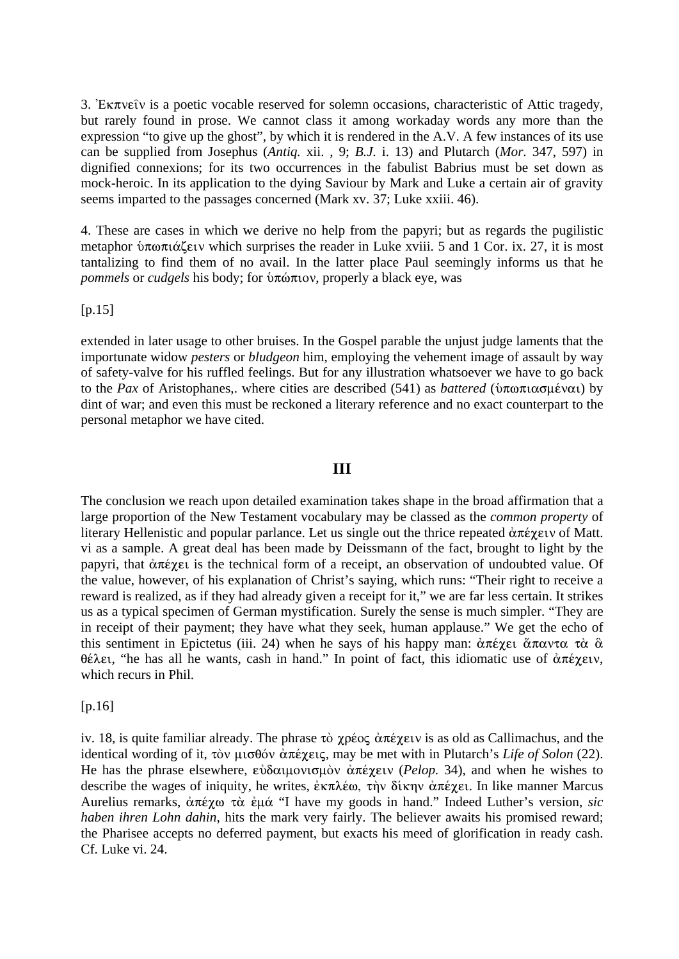3. Ex $\pi$ ve $\hat{\imath}$  is a poetic vocable reserved for solemn occasions, characteristic of Attic tragedy, but rarely found in prose. We cannot class it among workaday words any more than the expression "to give up the ghost", by which it is rendered in the A.V. A few instances of its use can be supplied from Josephus (*Antiq.* xii. , 9; *B.J.* i. 13) and Plutarch (*Mor.* 347, 597) in dignified connexions; for its two occurrences in the fabulist Babrius must be set down as mock-heroic. In its application to the dying Saviour by Mark and Luke a certain air of gravity seems imparted to the passages concerned (Mark xv. 37; Luke xxiii. 46).

4. These are cases in which we derive no help from the papyri; but as regards the pugilistic metaphor  $\mathfrak{v}\pi\omega\pi\alpha\zeta\epsilon\iota\upsilon$  which surprises the reader in Luke xviii. 5 and 1 Cor. ix. 27, it is most tantalizing to find them of no avail. In the latter place Paul seemingly informs us that he *pommels* or *cudgels* his body; for *υπώπιον*, properly a black eye, was

 $[p.15]$ 

extended in later usage to other bruises. In the Gospel parable the unjust judge laments that the importunate widow *pesters* or *bludgeon* him, employing the vehement image of assault by way of safety-valve for his ruffled feelings. But for any illustration whatsoever we have to go back to the *Pax* of Aristophanes,. where cities are described (541) as *battered* ( $\delta \pi \omega \pi \alpha \omega \mu \epsilon \nu \alpha \nu$ ) by dint of war; and even this must be reckoned a literary reference and no exact counterpart to the personal metaphor we have cited.

### **III**

The conclusion we reach upon detailed examination takes shape in the broad affirmation that a large proportion of the New Testament vocabulary may be classed as the *common property* of literary Hellenistic and popular parlance. Let us single out the thrice repeated  $\alpha \pi \epsilon \gamma \epsilon \nu$  of Matt. vi as a sample. A great deal has been made by Deissmann of the fact, brought to light by the papyri, that  $\alpha \pi \epsilon \chi \epsilon$  is the technical form of a receipt, an observation of undoubted value. Of the value, however, of his explanation of Christ's saying, which runs: "Their right to receive a reward is realized, as if they had already given a receipt for it," we are far less certain. It strikes us as a typical specimen of German mystification. Surely the sense is much simpler. "They are in receipt of their payment; they have what they seek, human applause." We get the echo of this sentiment in Epictetus (iii. 24) when he says of his happy man:  $\alpha \pi \epsilon \gamma \epsilon_1 \alpha \pi \alpha \gamma \tau \alpha \alpha \alpha$  $\theta \in \lambda \in I$ , "he has all he wants, cash in hand." In point of fact, this idiomatic use of  $\alpha \pi \in \mathcal{I}$ which recurs in Phil.

 $[p.16]$ 

iv. 18, is quite familiar already. The phrase  $\tau \delta \chi \rho \epsilon o \varsigma \, d\tau \epsilon \chi \epsilon \nu$  is as old as Callimachus, and the identical wording of it, τὸν μισθόν ἀπέγεις, may be met with in Plutarch's *Life of Solon* (22). He has the phrase elsewhere, εὐδαιμονισμὸν ἀπέχειν (*Pelop.* 34), and when he wishes to describe the wages of iniquity, he writes,  $\dot{\epsilon} \kappa \pi \lambda \dot{\epsilon} \omega$ ,  $\dot{\tau} \gamma$   $\delta(\kappa \eta)$   $\dot{\alpha} \pi \dot{\epsilon} \gamma \epsilon$ . In like manner Marcus Aurelius remarks,  $\alpha \pi \epsilon \chi$ ω τὰ ἐμά "I have my goods in hand." Indeed Luther's version, *sic haben ihren Lohn dahin,* hits the mark very fairly. The believer awaits his promised reward; the Pharisee accepts no deferred payment, but exacts his meed of glorification in ready cash. Cf. Luke vi. 24.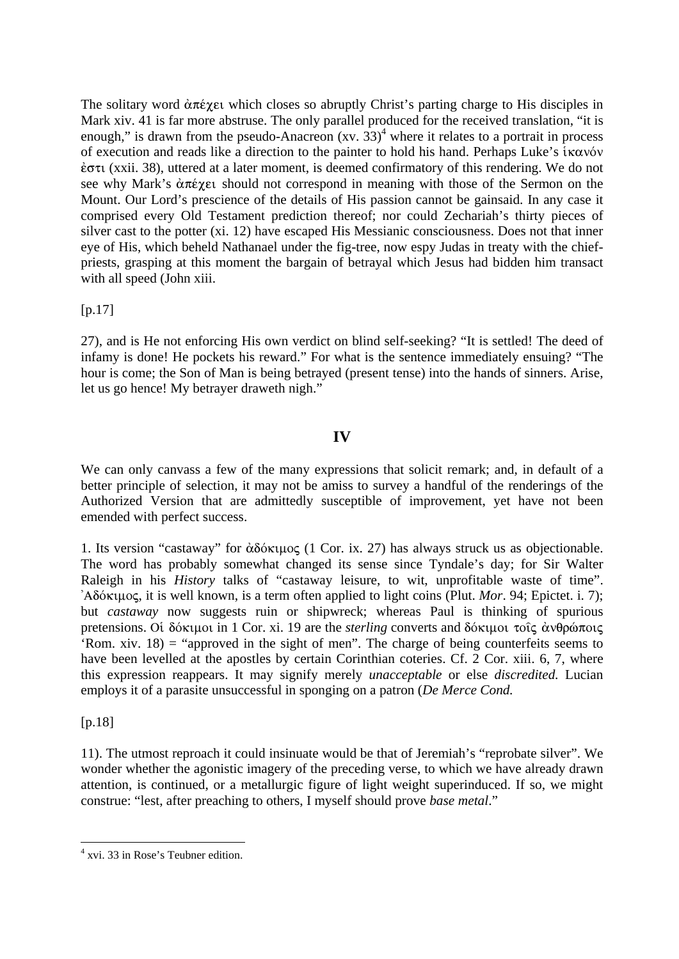The solitary word  $\alpha \pi \epsilon \chi \epsilon \nu$  which closes so abruptly Christ's parting charge to His disciples in Mark xiv. 41 is far more abstruse. The only parallel produced for the received translation, "it is enough," is drawn from the pseudo-Anacreon  $(xv. 33)^4$  where it relates to a portrait in process of execution and reads like a direction to the painter to hold his hand. Perhaps Luke's  $\hat{i}$  kayov  $\dot{\epsilon}$  (xxii. 38), uttered at a later moment, is deemed confirmatory of this rendering. We do not see why Mark's  $\alpha \pi \epsilon$  are should not correspond in meaning with those of the Sermon on the Mount. Our Lord's prescience of the details of His passion cannot be gainsaid. In any case it comprised every Old Testament prediction thereof; nor could Zechariah's thirty pieces of silver cast to the potter (xi. 12) have escaped His Messianic consciousness. Does not that inner eye of His, which beheld Nathanael under the fig-tree, now espy Judas in treaty with the chiefpriests, grasping at this moment the bargain of betrayal which Jesus had bidden him transact with all speed (John xiii.

 $[p.17]$ 

27), and is He not enforcing His own verdict on blind self-seeking? "It is settled! The deed of infamy is done! He pockets his reward." For what is the sentence immediately ensuing? "The hour is come; the Son of Man is being betrayed (present tense) into the hands of sinners. Arise, let us go hence! My betrayer draweth nigh."

## **IV**

We can only canvass a few of the many expressions that solicit remark; and, in default of a better principle of selection, it may not be amiss to survey a handful of the renderings of the Authorized Version that are admittedly susceptible of improvement, yet have not been emended with perfect success.

1. Its version "castaway" for  $\dot{\alpha} \delta \dot{\alpha} \kappa \mu \dot{\alpha}$  (1 Cor. ix. 27) has always struck us as objectionable. The word has probably somewhat changed its sense since Tyndale's day; for Sir Walter Raleigh in his *History* talks of "castaway leisure, to wit, unprofitable waste of time". 'AdÒkimoj, it is well known, is a term often applied to light coins (Plut. *Mor*. 94; Epictet. i. 7); but *castaway* now suggests ruin or shipwreck; whereas Paul is thinking of spurious pretensions. Oι δόκιμοι in 1 Cor. xi. 19 are the *sterling* converts and δόκιμοι τοις άνθρώποις 'Rom. xiv. 18) = "approved in the sight of men". The charge of being counterfeits seems to have been levelled at the apostles by certain Corinthian coteries. Cf. 2 Cor. xiii. 6, 7, where this expression reappears. It may signify merely *unacceptable* or else *discredited.* Lucian employs it of a parasite unsuccessful in sponging on a patron (*De Merce Cond.* 

[p.18]

1

11). The utmost reproach it could insinuate would be that of Jeremiah's "reprobate silver". We wonder whether the agonistic imagery of the preceding verse, to which we have already drawn attention, is continued, or a metallurgic figure of light weight superinduced. If so, we might construe: "lest, after preaching to others, I myself should prove *base metal*."

<sup>4</sup> xvi. 33 in Rose's Teubner edition.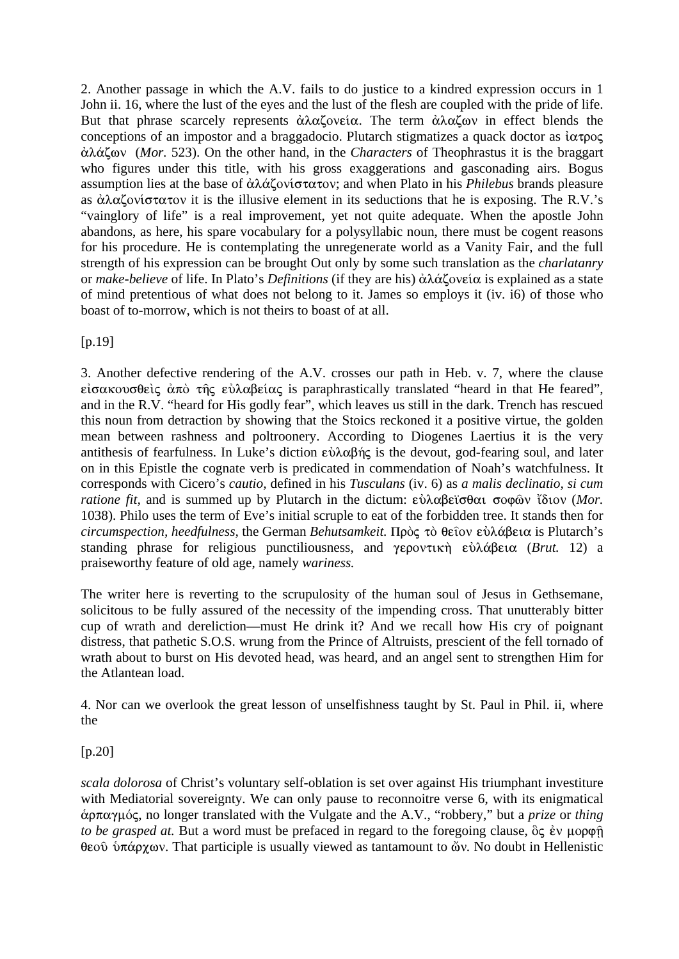2. Another passage in which the A.V. fails to do justice to a kindred expression occurs in 1 John ii. 16, where the lust of the eyes and the lust of the flesh are coupled with the pride of life. But that phrase scarcely represents  $\dot{\alpha} \lambda \alpha \zeta$  ove  $i\alpha$ . The term  $\dot{\alpha} \lambda \alpha \zeta$  over in effect blends the conceptions of an impostor and a braggadocio. Plutarch stigmatizes a quack doctor as  $i\alpha\tau\rho\sigma\varsigma$ ¢l£zwn(*Mor.* 523). On the other hand, in the *Characters* of Theophrastus it is the braggart who figures under this title, with his gross exaggerations and gasconading airs. Bogus assumption lies at the base of ἀλάζονίστατον; and when Plato in his *Philebus* brands pleasure as  $\dot{\alpha} \lambda \alpha \zeta$  ovi $\sigma \tau \alpha \tau$  is the illusive element in its seductions that he is exposing. The R.V.'s "vainglory of life" is a real improvement, yet not quite adequate. When the apostle John abandons, as here, his spare vocabulary for a polysyllabic noun, there must be cogent reasons for his procedure. He is contemplating the unregenerate world as a Vanity Fair, and the full strength of his expression can be brought Out only by some such translation as the *charlatanry*  or *make-believe* of life. In Plato's *Definitions* (if they are his) ἀλάζονεία is explained as a state of mind pretentious of what does not belong to it. James so employs it (iv. i6) of those who boast of to-morrow, which is not theirs to boast of at all.

[p.19]

3. Another defective rendering of the A.V. crosses our path in Heb. v. 7, where the clause  $\epsilon$  iσακουσθείς άπό της εύλαβείας is paraphrastically translated "heard in that He feared", and in the R.V. "heard for His godly fear", which leaves us still in the dark. Trench has rescued this noun from detraction by showing that the Stoics reckoned it a positive virtue, the golden mean between rashness and poltroonery. According to Diogenes Laertius it is the very antithesis of fearfulness. In Luke's diction  $\varepsilon \dot{\nu} \lambda \alpha \beta \dot{\eta} \varsigma$  is the devout, god-fearing soul, and later on in this Epistle the cognate verb is predicated in commendation of Noah's watchfulness. It corresponds with Cicero's *cautio,* defined in his *Tusculans* (iv. 6) as *a malis declinatio, si cum ratione fit,* and is summed up by Plutarch in the dictum: εὐλαβεϊσθαι σοφῶν ἴδιον (*Mor.* 1038). Philo uses the term of Eve's initial scruple to eat of the forbidden tree. It stands then for *circumspection, heedfulness, the German Behutsamkeit.* Πρὸς τὸ θεῖον εὐλάβεια is Plutarch's standing phrase for religious punctiliousness, and γεροντική εὐλάβεια (*Brut.* 12) a praiseworthy feature of old age, namely *wariness.* 

The writer here is reverting to the scrupulosity of the human soul of Jesus in Gethsemane, solicitous to be fully assured of the necessity of the impending cross. That unutterably bitter cup of wrath and dereliction—must He drink it? And we recall how His cry of poignant distress, that pathetic S.O.S. wrung from the Prince of Altruists, prescient of the fell tornado of wrath about to burst on His devoted head, was heard, and an angel sent to strengthen Him for the Atlantean load.

4. Nor can we overlook the great lesson of unselfishness taught by St. Paul in Phil. ii, where the

[p.20]

*scala dolorosa* of Christ's voluntary self-oblation is set over against His triumphant investiture with Mediatorial sovereignty. We can only pause to reconnoitre verse 6, with its enigmatical άρπαγμός, no longer translated with the Vulgate and the A.V., "robbery," but a *prize* or *thing to be grasped at.* But a word must be prefaced in regard to the foregoing clause,  $\delta \zeta$  *έν μορφή* θεοῦ ὑπάρχων. That participle is usually viewed as tantamount to ὤν. No doubt in Hellenistic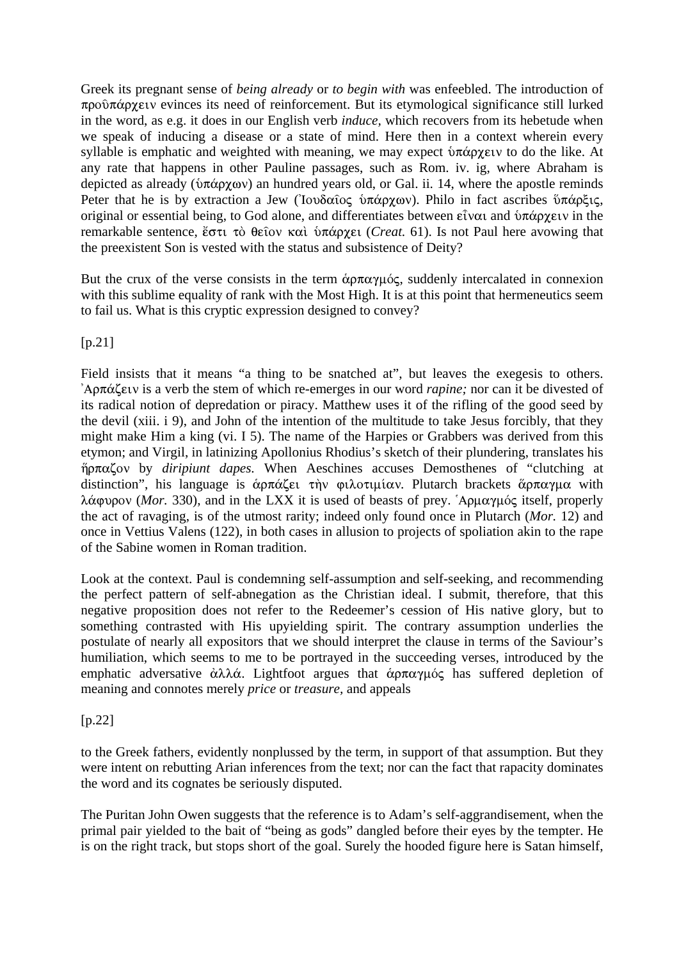Greek its pregnant sense of *being already* or *to begin with* was enfeebled. The introduction of  $\pi \rho$ o $\hat{\sigma}$  $\pi \hat{\alpha}$  pyrover evinces its need of reinforcement. But its etymological significance still lurked in the word, as e.g. it does in our English verb *induce,* which recovers from its hebetude when we speak of inducing a disease or a state of mind. Here then in a context wherein every syllable is emphatic and weighted with meaning, we may expect  $\delta \pi \alpha \rho \chi_{\text{EUV}}$  to do the like. At any rate that happens in other Pauline passages, such as Rom. iv. ig, where Abraham is depicted as already ( $\hat{v} \pi \hat{\alpha} \rho \hat{\gamma} \hat{\alpha} \hat{\alpha}$ ) an hundred years old, or Gal. ii. 14, where the apostle reminds Peter that he is by extraction a Jew ('Iovδαΐος ύπάρχων). Philo in fact ascribes ὕπάρξις, original or essential being, to God alone, and differentiates between  $\epsilon \hat{i} \nu \alpha i$  and  $\delta \pi \alpha \rho \chi \epsilon i \nu$  in the remarkable sentence, ἔστι τὸ θεῖον καὶ ὑπάρχει (*Creat.* 61). Is not Paul here avowing that the preexistent Son is vested with the status and subsistence of Deity?

But the crux of the verse consists in the term  $\dot{\alpha}$ *proxy* $\mu$ *ó*ς, suddenly intercalated in connexion with this sublime equality of rank with the Most High. It is at this point that hermeneutics seem to fail us. What is this cryptic expression designed to convey?

 $[p.21]$ 

Field insists that it means "a thing to be snatched at", but leaves the exegesis to others. 'Aρπάζειν is a verb the stem of which re-emerges in our word *rapine*; nor can it be divested of its radical notion of depredation or piracy. Matthew uses it of the rifling of the good seed by the devil (xiii. i 9), and John of the intention of the multitude to take Jesus forcibly, that they might make Him a king (vi. I 5). The name of the Harpies or Grabbers was derived from this etymon; and Virgil, in latinizing Apollonius Rhodius's sketch of their plundering, translates his  $\eta$ ρπαζον by *diripiunt dapes*. When Aeschines accuses Demosthenes of "clutching at distinction", his language is άρπάζει την φιλοτιμίαν. Plutarch brackets άρπαγμα with λάφυρον (*Mor.* 330), and in the LXX it is used of beasts of prey. `Αρμαγμός itself, properly the act of ravaging, is of the utmost rarity; indeed only found once in Plutarch (*Mor.* 12) and once in Vettius Valens (122), in both cases in allusion to projects of spoliation akin to the rape of the Sabine women in Roman tradition.

Look at the context. Paul is condemning self-assumption and self-seeking, and recommending the perfect pattern of self-abnegation as the Christian ideal. I submit, therefore, that this negative proposition does not refer to the Redeemer's cession of His native glory, but to something contrasted with His upyielding spirit. The contrary assumption underlies the postulate of nearly all expositors that we should interpret the clause in terms of the Saviour's humiliation, which seems to me to be portrayed in the succeeding verses, introduced by the emphatic adversative  $\dot{\alpha}\lambda\lambda\dot{\alpha}$ . Lightfoot argues that  $\dot{\alpha}$ p $\pi\alpha\gamma\mu\dot{\alpha}$  has suffered depletion of meaning and connotes merely *price* or *treasure,* and appeals

### [p.22]

to the Greek fathers, evidently nonplussed by the term, in support of that assumption. But they were intent on rebutting Arian inferences from the text; nor can the fact that rapacity dominates the word and its cognates be seriously disputed.

The Puritan John Owen suggests that the reference is to Adam's self-aggrandisement, when the primal pair yielded to the bait of "being as gods" dangled before their eyes by the tempter. He is on the right track, but stops short of the goal. Surely the hooded figure here is Satan himself,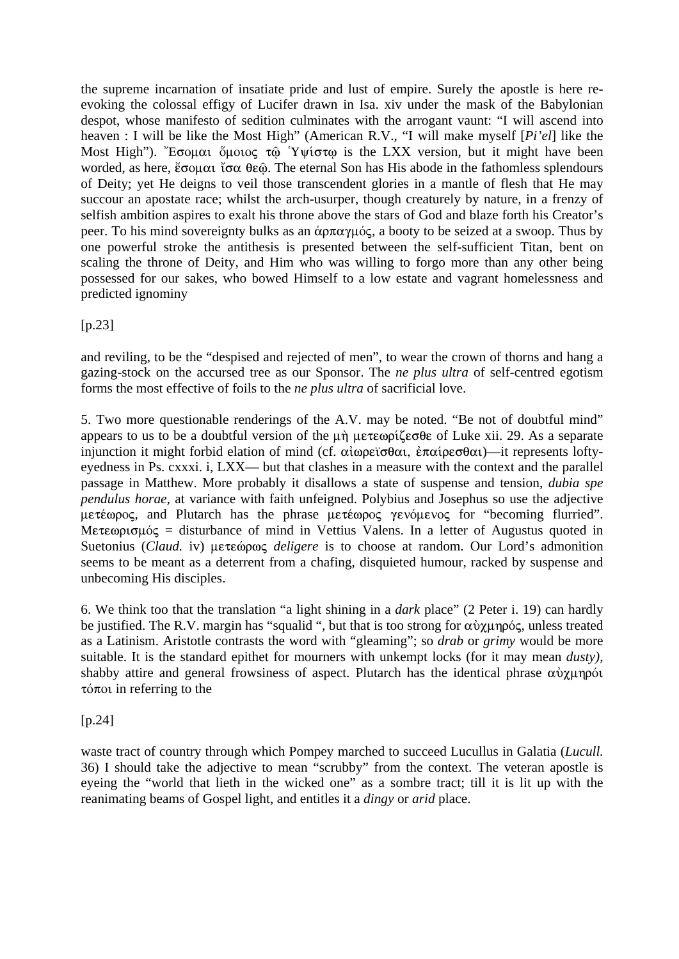the supreme incarnation of insatiate pride and lust of empire. Surely the apostle is here reevoking the colossal effigy of Lucifer drawn in Isa. xiv under the mask of the Babylonian despot, whose manifesto of sedition culminates with the arrogant vaunt: "I will ascend into heaven : I will be like the Most High" (American R.V., "I will make myself [*Pi'el*] like the Most High"). "Εσομαι ὅμοιος τῷ Υψίστω is the LXX version, but it might have been worded, as here,  $\epsilon \infty$   $\alpha$   $\alpha \in \mathbb{R}$ . The eternal Son has His abode in the fathomless splendours of Deity; yet He deigns to veil those transcendent glories in a mantle of flesh that He may succour an apostate race; whilst the arch-usurper, though creaturely by nature, in a frenzy of selfish ambition aspires to exalt his throne above the stars of God and blaze forth his Creator's peer. To his mind sovereignty bulks as an  $\&$   $\alpha \pi \alpha \gamma \mu \acute{o}$ , a booty to be seized at a swoop. Thus by one powerful stroke the antithesis is presented between the self-sufficient Titan, bent on scaling the throne of Deity, and Him who was willing to forgo more than any other being possessed for our sakes, who bowed Himself to a low estate and vagrant homelessness and predicted ignominy

[p.23]

and reviling, to be the "despised and rejected of men", to wear the crown of thorns and hang a gazing-stock on the accursed tree as our Sponsor. The *ne plus ultra* of self-centred egotism forms the most effective of foils to the *ne plus ultra* of sacrificial love.

5. Two more questionable renderings of the A.V. may be noted. "Be not of doubtful mind" appears to us to be a doubtful version of the  $\mu \dot{\eta}$   $\mu \epsilon \tau \epsilon \omega \rho i \zeta \epsilon \sigma \theta \epsilon$  of Luke xii. 29. As a separate injunction it might forbid elation of mind (cf.  $\alpha\alpha\beta\gamma\partial\alpha$ ,  $\alpha\alpha\beta\gamma\partial\alpha$ )—it represents loftyeyedness in Ps. cxxxi. i, LXX— but that clashes in a measure with the context and the parallel passage in Matthew. More probably it disallows a state of suspense and tension, *dubia spe pendulus horae,* at variance with faith unfeigned. Polybius and Josephus so use the adjective  $\mu \in \mathfrak{X}$  and Plutarch has the phrase  $\mu \in \mathfrak{X}$   $\mathfrak{X}$   $\mathfrak{X}$   $\mathfrak{X}$   $\mathfrak{X}$   $\mathfrak{X}$   $\mathfrak{X}$   $\mathfrak{X}$   $\mathfrak{X}$   $\mathfrak{X}$   $\mathfrak{X}$   $\mathfrak{X}$   $\mathfrak{X}$   $\mathfrak{X}$   $\mathfrak{X}$   $\mathfrak{X}$   $\mathfrak{X}$   $\mathfrak$ Meteopro $\mu$ ός = disturbance of mind in Vettius Valens. In a letter of Augustus quoted in Suetonius (*Claud.* iv) μετεώρως *deligere* is to choose at random. Our Lord's admonition seems to be meant as a deterrent from a chafing, disquieted humour, racked by suspense and unbecoming His disciples.

6. We think too that the translation "a light shining in a *dark* place" (2 Peter i. 19) can hardly be justified. The R.V. margin has "squalid ", but that is too strong for  $\alpha\dot{\alpha}\chi\mu\eta\rho\dot{\alpha}\zeta$ , unless treated as a Latinism. Aristotle contrasts the word with "gleaming"; so *drab* or *grimy* would be more suitable. It is the standard epithet for mourners with unkempt locks (for it may mean *dusty),*  shabby attire and general frowsiness of aspect. Plutarch has the identical phrase  $\alpha \dot{\gamma}$ unpói  $\tau$ <sup>o</sup> $\pi$ <sup>ot</sup> in referring to the

[p.24]

waste tract of country through which Pompey marched to succeed Lucullus in Galatia (*Lucull.*  36) I should take the adjective to mean "scrubby" from the context. The veteran apostle is eyeing the "world that lieth in the wicked one" as a sombre tract; till it is lit up with the reanimating beams of Gospel light, and entitles it a *dingy* or *arid* place.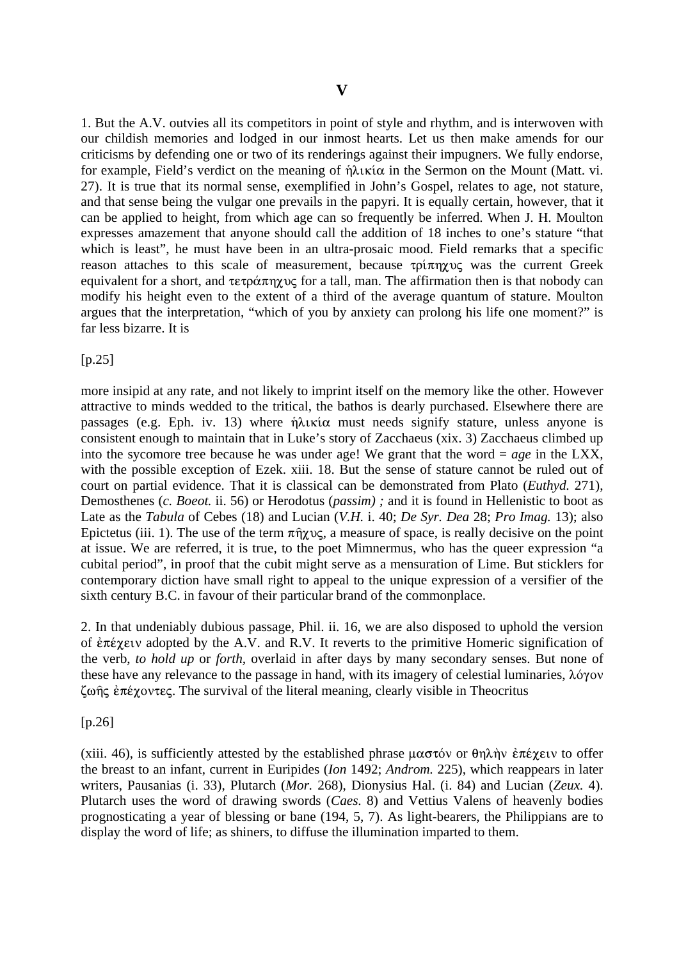1. But the A.V. outvies all its competitors in point of style and rhythm, and is interwoven with our childish memories and lodged in our inmost hearts. Let us then make amends for our criticisms by defending one or two of its renderings against their impugners. We fully endorse, for example, Field's verdict on the meaning of  $\hat{\eta} \lambda x \hat{\alpha}$  in the Sermon on the Mount (Matt. vi. 27). It is true that its normal sense, exemplified in John's Gospel, relates to age, not stature, and that sense being the vulgar one prevails in the papyri. It is equally certain, however, that it can be applied to height, from which age can so frequently be inferred. When J. H. Moulton expresses amazement that anyone should call the addition of 18 inches to one's stature "that which is least", he must have been in an ultra-prosaic mood. Field remarks that a specific reason attaches to this scale of measurement, because  $\tau \rho i \pi \eta \chi \nu \zeta$  was the current Greek equivalent for a short, and  $\tau \in \rho \circ \pi \circ \gamma$  for a tall, man. The affirmation then is that nobody can modify his height even to the extent of a third of the average quantum of stature. Moulton argues that the interpretation, "which of you by anxiety can prolong his life one moment?" is far less bizarre. It is

 $[p.25]$ 

more insipid at any rate, and not likely to imprint itself on the memory like the other. However attractive to minds wedded to the tritical, the bathos is dearly purchased. Elsewhere there are passages (e.g. Eph. iv. 13) where  $\hat{\eta} \lambda \iota \kappa \iota \alpha$  must needs signify stature, unless anyone is consistent enough to maintain that in Luke's story of Zacchaeus (xix. 3) Zacchaeus climbed up into the sycomore tree because he was under age! We grant that the word = *age* in the LXX, with the possible exception of Ezek. xiii. 18. But the sense of stature cannot be ruled out of court on partial evidence. That it is classical can be demonstrated from Plato (*Euthyd.* 271), Demosthenes (*c. Boeot.* ii. 56) or Herodotus (*passim) ;* and it is found in Hellenistic to boot as Late as the *Tabula* of Cebes (18) and Lucian (*V.H.* i. 40; *De Syr. Dea* 28; *Pro Imag.* 13); also Epictetus (iii. 1). The use of the term  $\pi \hat{\eta} \gamma \nu \varsigma$ , a measure of space, is really decisive on the point at issue. We are referred, it is true, to the poet Mimnermus, who has the queer expression "a cubital period", in proof that the cubit might serve as a mensuration of Lime. But sticklers for contemporary diction have small right to appeal to the unique expression of a versifier of the sixth century B.C. in favour of their particular brand of the commonplace.

2. In that undeniably dubious passage, Phil. ii. 16, we are also disposed to uphold the version of  $\epsilon \pi \epsilon \chi$  adopted by the A.V. and R.V. It reverts to the primitive Homeric signification of the verb, *to hold up* or *forth,* overlaid in after days by many secondary senses. But none of these have any relevance to the passage in hand, with its imagery of celestial luminaries,  $\lambda \acute{o} \gamma$ ov  $\zeta$ ωής έπέχοντες. The survival of the literal meaning, clearly visible in Theocritus

[p.26]

(xiii. 46), is sufficiently attested by the established phrase  $\mu\alpha\sigma\tau\acute{o}v$  or  $\theta\eta\lambda\grave{n}v \acute{\epsilon}\tau\acute{\epsilon}\gamma$  are to offer the breast to an infant, current in Euripides (*Ion* 1492; *Androm.* 225), which reappears in later writers, Pausanias (i. 33), Plutarch (*Mor.* 268), Dionysius Hal. (i. 84) and Lucian (*Zeux.* 4). Plutarch uses the word of drawing swords (*Caes.* 8) and Vettius Valens of heavenly bodies prognosticating a year of blessing or bane (194, 5, 7). As light-bearers, the Philippians are to display the word of life; as shiners, to diffuse the illumination imparted to them.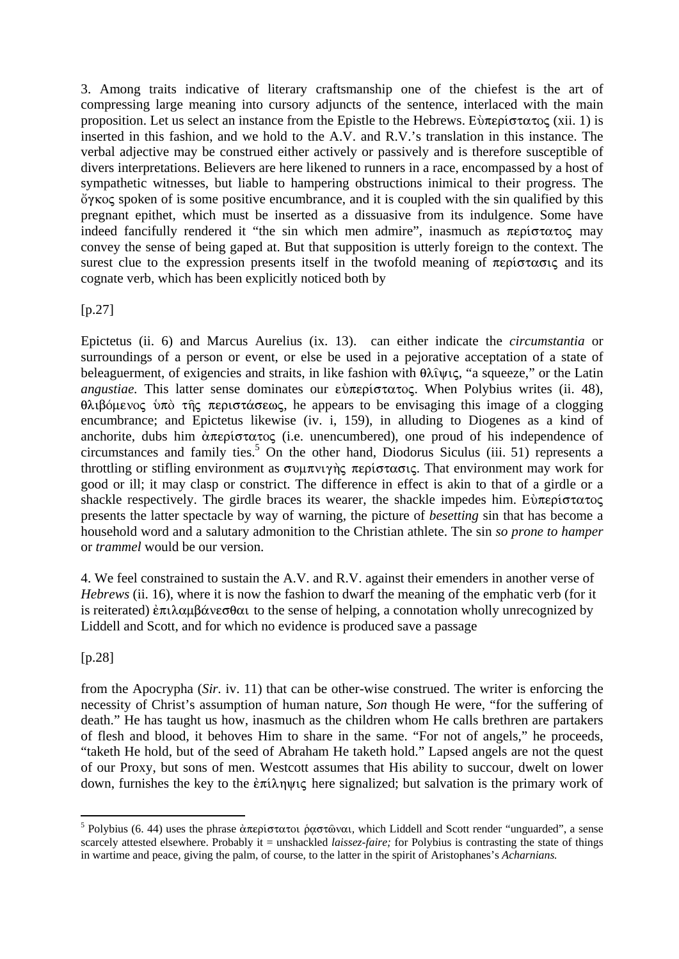3. Among traits indicative of literary craftsmanship one of the chiefest is the art of compressing large meaning into cursory adjuncts of the sentence, interlaced with the main proposition. Let us select an instance from the Epistle to the Hebrews. E $\hat{\nu}$ περίστατος (xii. 1) is inserted in this fashion, and we hold to the A.V. and R.V.'s translation in this instance. The verbal adjective may be construed either actively or passively and is therefore susceptible of divers interpretations. Believers are here likened to runners in a race, encompassed by a host of sympathetic witnesses, but liable to hampering obstructions inimical to their progress. The  $\gamma$  over  $\alpha$  spoken of is some positive encumbrance, and it is coupled with the sin qualified by this pregnant epithet, which must be inserted as a dissuasive from its indulgence. Some have indeed fancifully rendered it "the sin which men admire", inasmuch as  $\pi \epsilon \rho i \sigma \tau \alpha \tau o \varsigma$  may convey the sense of being gaped at. But that supposition is utterly foreign to the context. The surest clue to the expression presents itself in the twofold meaning of  $\pi \epsilon \rho i \sigma \tau \alpha \sigma i \zeta$  and its cognate verb, which has been explicitly noticed both by

[p.27]

Epictetus (ii. 6) and Marcus Aurelius (ix. 13). can either indicate the *circumstantia* or surroundings of a person or event, or else be used in a pejorative acceptation of a state of beleaguerment, of exigencies and straits, in like fashion with  $\theta \lambda \hat{\iota} \psi$  a squeeze," or the Latin *angustiae.* This latter sense dominates our  $\epsilon \dot{\nu} \pi \epsilon \rho i \sigma \tau \alpha \tau o \varsigma$ . When Polybius writes (ii. 48),  $\theta\lambda\theta\delta\mu\epsilon\cos\theta$   $\theta\alpha\cos\theta$   $\cos\theta$   $\cos\theta$  and  $\cos\theta$  and  $\cos\theta$  and  $\sin\theta$  are contained the clogging encumbrance; and Epictetus likewise (iv. i, 159), in alluding to Diogenes as a kind of anchorite, dubs him  $\alpha \pi \epsilon \rho$  (i.e. unencumbered), one proud of his independence of circumstances and family ties.<sup>5</sup> On the other hand, Diodorus Siculus (iii. 51) represents a throttling or stifling environment as  $\sigma v \mu \pi v v \gamma \gamma \varsigma$  *περίστασις*. That environment may work for good or ill; it may clasp or constrict. The difference in effect is akin to that of a girdle or a shackle respectively. The girdle braces its wearer, the shackle impedes him. E $\dot{v}$ περίστατος presents the latter spectacle by way of warning, the picture of *besetting* sin that has become a household word and a salutary admonition to the Christian athlete. The sin *so prone to hamper*  or *trammel* would be our version.

4. We feel constrained to sustain the A.V. and R.V. against their emenders in another verse of *Hebrews* (ii. 16), where it is now the fashion to dwarf the meaning of the emphatic verb (for it is reiterated)  $\epsilon \pi \iota \lambda \alpha \mu \beta \dot{\alpha} \nu \epsilon \sigma \theta \alpha \iota$  to the sense of helping, a connotation wholly unrecognized by Liddell and Scott, and for which no evidence is produced save a passage

[p.28]

1

from the Apocrypha (*Sir.* iv. 11) that can be other-wise construed. The writer is enforcing the necessity of Christ's assumption of human nature, *Son* though He were, "for the suffering of death." He has taught us how, inasmuch as the children whom He calls brethren are partakers of flesh and blood, it behoves Him to share in the same. "For not of angels," he proceeds, "taketh He hold, but of the seed of Abraham He taketh hold." Lapsed angels are not the quest of our Proxy, but sons of men. Westcott assumes that His ability to succour, dwelt on lower down, furnishes the key to the  $\epsilon \pi i \lambda \eta \psi \zeta$  here signalized; but salvation is the primary work of

<sup>&</sup>lt;sup>5</sup> Polybius (6. 44) uses the phrase ἀπερίστατοι ραστώναι, which Liddell and Scott render "unguarded", a sense scarcely attested elsewhere. Probably it = unshackled *laissez-faire*; for Polybius is contrasting the state of things in wartime and peace, giving the palm, of course, to the latter in the spirit of Aristophanes's *Acharnians.*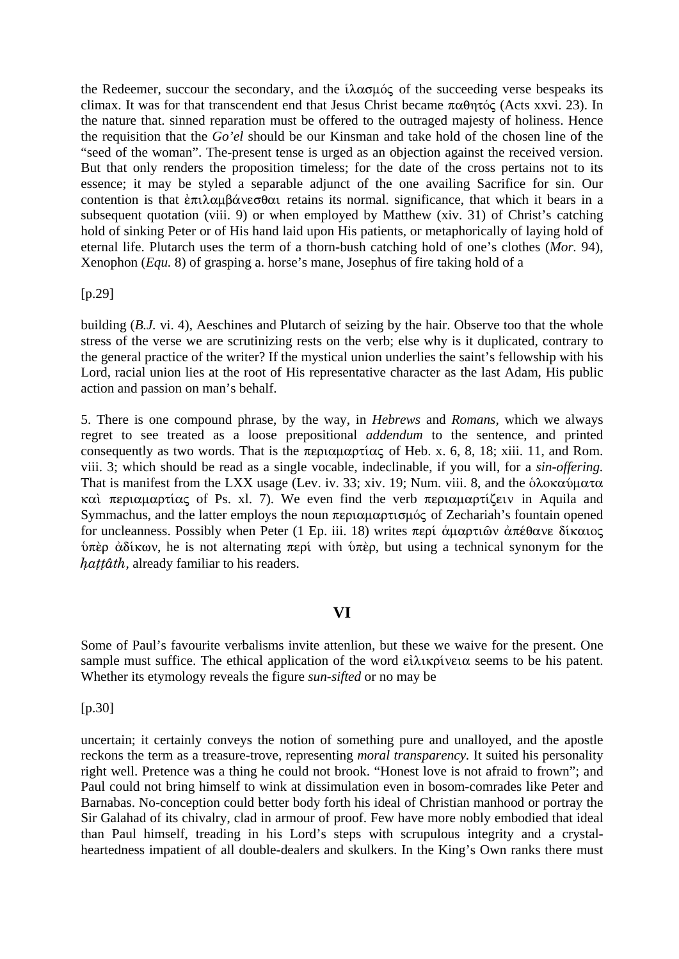the Redeemer, succour the secondary, and the  $i\lambda \alpha \sigma \mu \acute{o} \varsigma$  of the succeeding verse bespeaks its climax. It was for that transcendent end that Jesus Christ became  $\pi \alpha \theta \eta \tau \acute{o} \zeta$  (Acts xxvi. 23). In the nature that. sinned reparation must be offered to the outraged majesty of holiness. Hence the requisition that the *Go'el* should be our Kinsman and take hold of the chosen line of the "seed of the woman". The-present tense is urged as an objection against the received version. But that only renders the proposition timeless; for the date of the cross pertains not to its essence; it may be styled a separable adjunct of the one availing Sacrifice for sin. Our contention is that  $\epsilon \pi i \lambda \alpha \mu \beta \alpha \nu \epsilon \sigma \theta \alpha$  retains its normal. significance, that which it bears in a subsequent quotation (viii. 9) or when employed by Matthew (xiv. 31) of Christ's catching hold of sinking Peter or of His hand laid upon His patients, or metaphorically of laying hold of eternal life. Plutarch uses the term of a thorn-bush catching hold of one's clothes (*Mor.* 94), Xenophon (*Equ.* 8) of grasping a. horse's mane, Josephus of fire taking hold of a

[p.29]

building (*B.J.* vi. 4), Aeschines and Plutarch of seizing by the hair. Observe too that the whole stress of the verse we are scrutinizing rests on the verb; else why is it duplicated, contrary to the general practice of the writer? If the mystical union underlies the saint's fellowship with his Lord, racial union lies at the root of His representative character as the last Adam, His public action and passion on man's behalf.

5. There is one compound phrase, by the way, in *Hebrews* and *Romans,* which we always regret to see treated as a loose prepositional *addendum* to the sentence, and printed consequently as two words. That is the  $\pi \epsilon \rho \alpha \mu \alpha \rho \tau \alpha \zeta$  of Heb. x. 6, 8, 18; xiii. 11, and Rom. viii. 3; which should be read as a single vocable, indeclinable, if you will, for a *sin-offering.*  That is manifest from the LXX usage (Lev. iv. 33; xiv. 19; Num. viii. 8, and the δλοκαύματα καὶ περιαμαρτίας of Ps. xl. 7). We even find the verb περιαμαρτίζειν in Aquila and Symmachus, and the latter employs the noun  $\pi \epsilon \rho \alpha \mu \alpha \rho \tau \sigma \mu \delta \zeta$  of Zechariah's fountain opened for uncleanness. Possibly when Peter (1 Ep. iii. 18) writes  $\pi \epsilon \rho i$  άμαρτιῶν ἀπέθανε δίκαιος  $\phi$ πέρ ἀδίκων, he is not alternating περί with  $\phi$ πέρ, but using a technical synonym for the hattâth, already familiar to his readers.

## **VI**

Some of Paul's favourite verbalisms invite attenlion, but these we waive for the present. One sample must suffice. The ethical application of the word  $\epsilon\lambda\lambda\kappa\rho\lambda\nu\epsilon\alpha$  seems to be his patent. Whether its etymology reveals the figure *sun-sifted* or no may be

[p.30]

uncertain; it certainly conveys the notion of something pure and unalloyed, and the apostle reckons the term as a treasure-trove, representing *moral transparency.* It suited his personality right well. Pretence was a thing he could not brook. "Honest love is not afraid to frown"; and Paul could not bring himself to wink at dissimulation even in bosom-comrades like Peter and Barnabas. No-conception could better body forth his ideal of Christian manhood or portray the Sir Galahad of its chivalry, clad in armour of proof. Few have more nobly embodied that ideal than Paul himself, treading in his Lord's steps with scrupulous integrity and a crystalheartedness impatient of all double-dealers and skulkers. In the King's Own ranks there must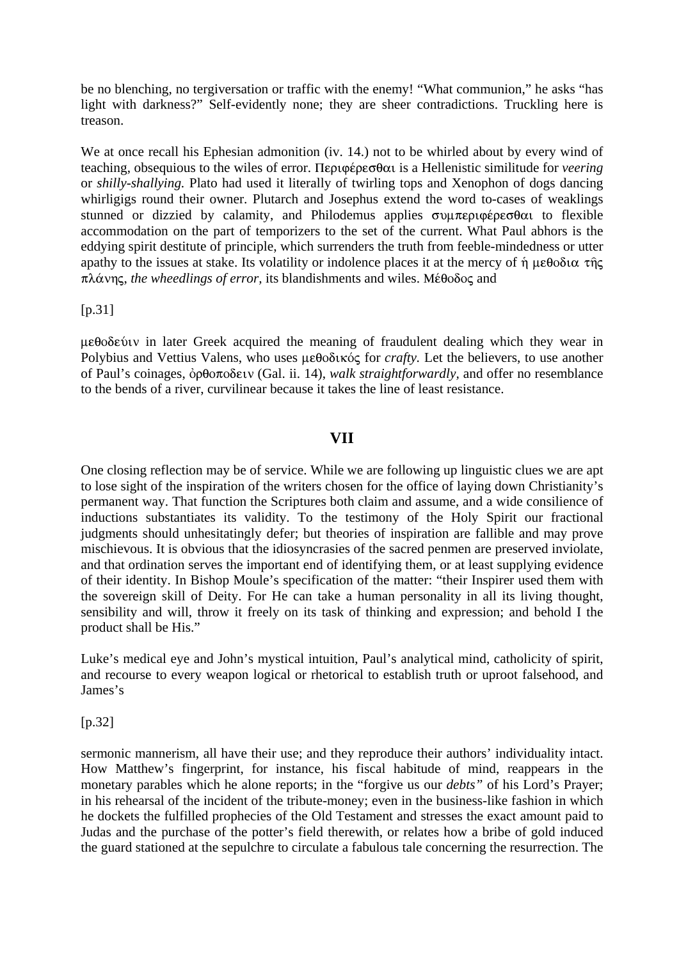be no blenching, no tergiversation or traffic with the enemy! "What communion," he asks "has light with darkness?" Self-evidently none; they are sheer contradictions. Truckling here is treason.

We at once recall his Ephesian admonition (iv. 14.) not to be whirled about by every wind of teaching, obsequious to the wiles of error. Περιφέρεσθαι is a Hellenistic similitude for *veering* or *shilly-shallying.* Plato had used it literally of twirling tops and Xenophon of dogs dancing whirligigs round their owner. Plutarch and Josephus extend the word to-cases of weaklings stunned or dizzied by calamity, and Philodemus applies  $\sigma$   $\nu$  $\pi$  $\nu$  $\nu$  $\sigma$  $\theta$  $\alpha$  to flexible accommodation on the part of temporizers to the set of the current. What Paul abhors is the eddying spirit destitute of principle, which surrenders the truth from feeble-mindedness or utter apathy to the issues at stake. Its volatility or indolence places it at the mercy of  $\eta$   $\mu \epsilon \theta$ oδια της πλάνης, *the wheedlings of error*, its blandishments and wiles. Μέθοδος and

#### $[p.31]$

 $\mu \epsilon \theta$  oδεύιν in later Greek acquired the meaning of fraudulent dealing which they wear in Polybius and Vettius Valens, who uses μεθοδικός for *crafty*. Let the believers, to use another of Paul's coinages, <u>όρθοποδειν</u> (Gal. ii. 14), *walk straightforwardly*, and offer no resemblance to the bends of a river, curvilinear because it takes the line of least resistance.

### **VII**

One closing reflection may be of service. While we are following up linguistic clues we are apt to lose sight of the inspiration of the writers chosen for the office of laying down Christianity's permanent way. That function the Scriptures both claim and assume, and a wide consilience of inductions substantiates its validity. To the testimony of the Holy Spirit our fractional judgments should unhesitatingly defer; but theories of inspiration are fallible and may prove mischievous. It is obvious that the idiosyncrasies of the sacred penmen are preserved inviolate, and that ordination serves the important end of identifying them, or at least supplying evidence of their identity. In Bishop Moule's specification of the matter: "their Inspirer used them with the sovereign skill of Deity. For He can take a human personality in all its living thought, sensibility and will, throw it freely on its task of thinking and expression; and behold I the product shall be His."

Luke's medical eye and John's mystical intuition, Paul's analytical mind, catholicity of spirit, and recourse to every weapon logical or rhetorical to establish truth or uproot falsehood, and James's

#### [p.32]

sermonic mannerism, all have their use; and they reproduce their authors' individuality intact. How Matthew's fingerprint, for instance, his fiscal habitude of mind, reappears in the monetary parables which he alone reports; in the "forgive us our *debts"* of his Lord's Prayer; in his rehearsal of the incident of the tribute-money; even in the business-like fashion in which he dockets the fulfilled prophecies of the Old Testament and stresses the exact amount paid to Judas and the purchase of the potter's field therewith, or relates how a bribe of gold induced the guard stationed at the sepulchre to circulate a fabulous tale concerning the resurrection. The